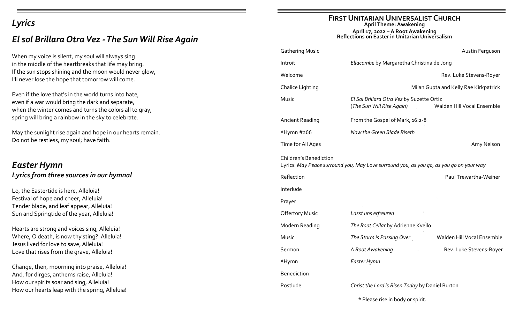# *Lyrics*

# *El sol Brillara Otra Vez -The Sun Will Rise Again*

When my voice is silent, my soul will always sing in the middle of the heartbreaks that life may bring. If the sun stops shining and the moon would never glow, I'll never lose the hope that tomorrow will come.

Even if the love that's in the world turns into hate, even if a war would bring the dark and separate, when the winter comes and turns the colors all to gray, spring will bring a rainbow in the sky to celebrate.

May the sunlight rise again and hope in our hearts remain. Do not be restless, my soul; have faith.

# *Easter Hymn Lyrics from three sources in our hymnal*

Lo, the Eastertide is here, Alleluia! Festival of hope and cheer, Alleluia! Tender blade, and leaf appear, Alleluia! Sun and Springtide of the year, Alleluia!

Hearts are strong and voices sing, Alleluia! Where, O death, is now thy sting? Alleluia! Jesus lived for love to save, Alleluia! Love that rises from the grave, Alleluia!

Change, then, mourning into praise, Alleluia! And, for dirges, anthems raise, Alleluia! How our spirits soar and sing, Alleluia! How our hearts leap with the spring, Alleluia!

#### **FIRST UNITARIAN UNIVERSALIST CHURCH April Theme: Awakening April 17, 2022 – A Root Awakening Reflections on Easter in Unitarian Universalism**

| <b>Gathering Music</b>                                                                                                   |                                                                        | Austin Ferguson            |  |
|--------------------------------------------------------------------------------------------------------------------------|------------------------------------------------------------------------|----------------------------|--|
| Introit                                                                                                                  | Ellacombe by Margaretha Christina de Jong                              |                            |  |
| Welcome                                                                                                                  |                                                                        | Rev. Luke Stevens-Royer    |  |
| Chalice Lighting                                                                                                         | Milan Gupta and Kelly Rae Kirkpatrick                                  |                            |  |
| Music                                                                                                                    | El Sol Brillara Otra Vez by Suzette Ortiz<br>(The Sun Will Rise Again) | Walden Hill Vocal Ensemble |  |
| <b>Ancient Reading</b>                                                                                                   | From the Gospel of Mark, 16:2-8                                        |                            |  |
| *Hymn #266                                                                                                               | Now the Green Blade Riseth                                             |                            |  |
| Time for All Ages                                                                                                        |                                                                        | Amy Nelson                 |  |
| <b>Children's Benediction</b><br>Lyrics: May Peace surround you, May Love surround you, as you go, as you go on your way |                                                                        |                            |  |
| Reflection                                                                                                               |                                                                        | Paul Trewartha-Weiner      |  |
| Interlude                                                                                                                |                                                                        |                            |  |
| Prayer                                                                                                                   |                                                                        |                            |  |
| <b>Offertory Music</b>                                                                                                   | Lasst uns erfreuren                                                    |                            |  |
| Modern Reading                                                                                                           | The Root Cellar by Adrienne Kvello                                     |                            |  |
| Music                                                                                                                    | The Storm is Passing Over                                              | Walden Hill Vocal Ensemble |  |
| Sermon                                                                                                                   | A Root Awakening                                                       | Rev. Luke Stevens-Royer    |  |
| *Hymn                                                                                                                    | Easter Hymn                                                            |                            |  |
| <b>Benediction</b>                                                                                                       |                                                                        |                            |  |
| Postlude                                                                                                                 | Christ the Lord is Risen Today by Daniel Burton                        |                            |  |
|                                                                                                                          |                                                                        |                            |  |

\* Please rise in body or spirit.